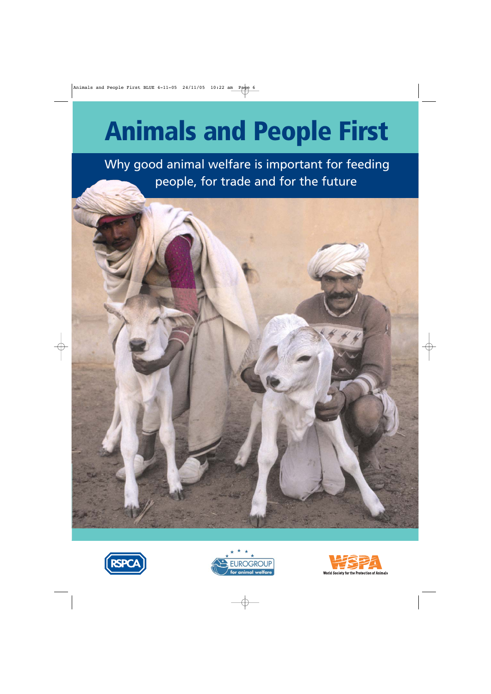# **Animals and People First**

Why good animal welfare is important for feeding people, for trade and for the future







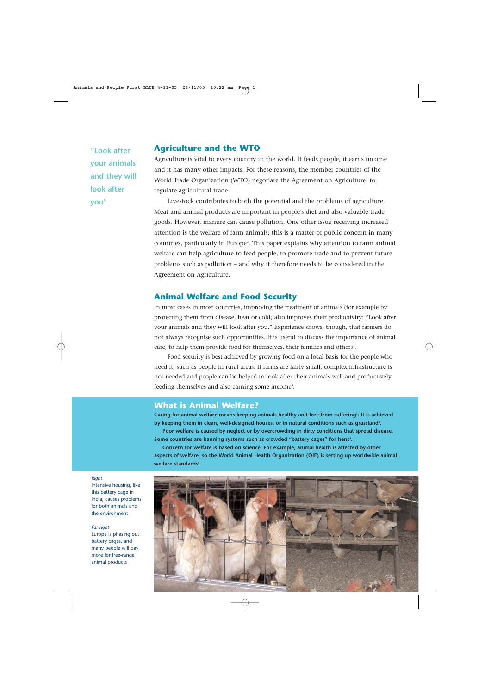**"Look after your animals and they will look after you"**

#### **Agriculture and the WTO**

Agriculture is vital to every country in the world. It feeds people, it earns income and it has many other impacts. For these reasons, the member countries of the World Trade Organization (WTO) negotiate the Agreement on Agriculture<sup>1</sup> to regulate agricultural trade.

Livestock contributes to both the potential and the problems of agriculture. Meat and animal products are important in people's diet and also valuable trade goods. However, manure can cause pollution. One other issue receiving increased attention is the welfare of farm animals: this is a matter of public concern in many countries, particularly in Europe<sup>2</sup>. This paper explains why attention to farm animal welfare can help agriculture to feed people, to promote trade and to prevent future problems such as pollution – and why it therefore needs to be considered in the Agreement on Agriculture.

### **Animal Welfare and Food Security**

In most cases in most countries, improving the treatment of animals (for example by protecting them from disease, heat or cold) also improves their productivity: "Look after your animals and they will look after you." Experience shows, though, that farmers do not always recognise such opportunities. It is useful to discuss the importance of animal care, to help them provide food for themselves, their families and others<sup>7</sup>.

Food security is best achieved by growing food on a local basis for the people who need it, such as people in rural areas. If farms are fairly small, complex infrastructure is not needed and people can be helped to look after their animals well and productively, feeding themselves and also earning some income<sup>s</sup>.

#### **What is Animal Welfare?**

**Caring for animal welfare means keeping animals healthy and free from suffering3 . It is achieved** by keeping them in clean, well-designed houses, or in natural conditions such as grassland<sup>4</sup>.

**Poor welfare is caused by neglect or by overcrowding in dirty conditions that spread disease.** Some countries are banning systems such as crowded "battery cages" for hens<sup>s</sup>.

**Concern for welfare is based on science. For example, animal health is affected by other aspects of welfare, so the World Animal Health Organization (OIE) is setting up worldwide animal welfare standards6 .**



*Right* Intensive housing, like this battery cage in

India, causes problems for both animals and the environment

#### *Far right*

Europe is phasing out battery cages, and many people will pay more for free-range animal products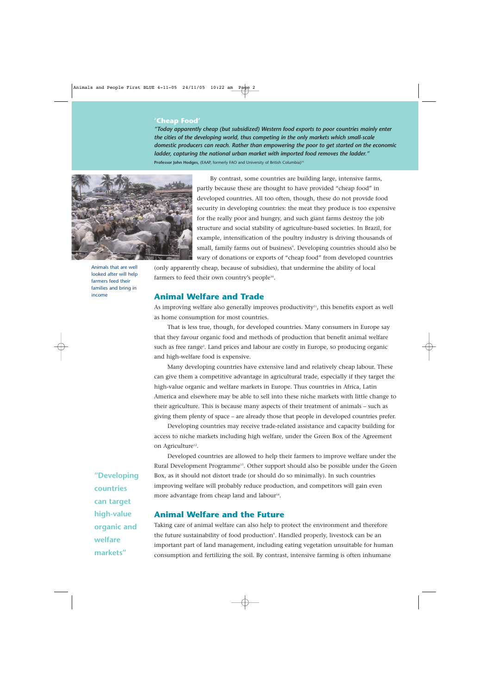#### **'Cheap Food'**

*"Today apparently cheap (but subsidized) Western food exports to poor countries mainly enter the cities of the developing world, thus competing in the only markets which small-scale domestic producers can reach. Rather than empowering the poor to get started on the economic ladder, capturing the national urban market with imported food removes the ladder."* **Professor John Hodges,** (EAAP, formerly FAO and University of British Columbia)<sup>10</sup>.



Animals that are well looked after will help farmers feed their families and bring in income

By contrast, some countries are building large, intensive farms, partly because these are thought to have provided "cheap food" in developed countries. All too often, though, these do not provide food security in developing countries: the meat they produce is too expensive for the really poor and hungry, and such giant farms destroy the job structure and social stability of agriculture-based societies. In Brazil, for example, intensification of the poultry industry is driving thousands of small, family farms out of business°. Developing countries should also be wary of donations or exports of "cheap food" from developed countries

(only apparently cheap, because of subsidies), that undermine the ability of local farmers to feed their own country's people<sup>10</sup>.

## **Animal Welfare and Trade**

As improving welfare also generally improves productivity $11$ , this benefits export as well as home consumption for most countries.

That is less true, though, for developed countries. Many consumers in Europe say that they favour organic food and methods of production that benefit animal welfare such as free range<sup>2</sup>. Land prices and labour are costly in Europe, so producing organic and high-welfare food is expensive.

Many developing countries have extensive land and relatively cheap labour. These can give them a competitive advantage in agricultural trade, especially if they target the high-value organic and welfare markets in Europe. Thus countries in Africa, Latin America and elsewhere may be able to sell into these niche markets with little change to their agriculture. This is because many aspects of their treatment of animals – such as giving them plenty of space – are already those that people in developed countries prefer.

Developing countries may receive trade-related assistance and capacity building for access to niche markets including high welfare, under the Green Box of the Agreement on Agriculture<sup>12</sup>.

Developed countries are allowed to help their farmers to improve welfare under the Rural Development Programme<sup>13</sup>. Other support should also be possible under the Green Box, as it should not distort trade (or should do so minimally). In such countries improving welfare will probably reduce production, and competitors will gain even more advantage from cheap land and labour<sup>14</sup>.

# **Animal Welfare and the Future**

Taking care of animal welfare can also help to protect the environment and therefore the future sustainability of food production°. Handled properly, livestock can be an important part of land management, including eating vegetation unsuitable for human consumption and fertilizing the soil. By contrast, intensive farming is often inhumane

**"Developing countries can target high-value organic and welfare markets"**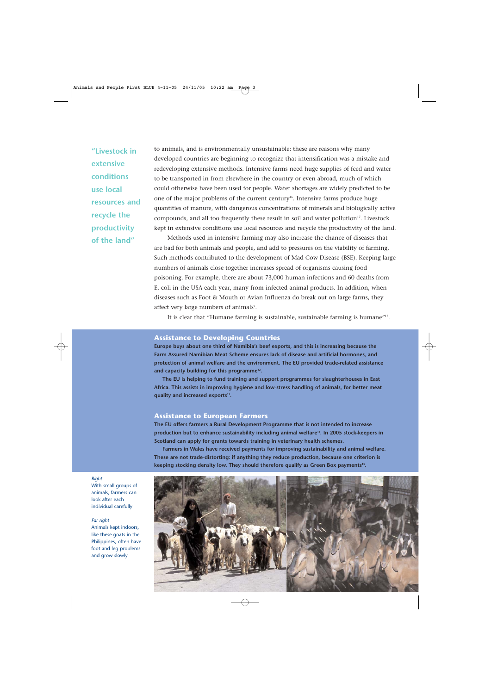**"Livestock in extensive conditions use local resources and recycle the productivity of the land"**

to animals, and is environmentally unsustainable: these are reasons why many developed countries are beginning to recognize that intensification was a mistake and redeveloping extensive methods. Intensive farms need huge supplies of feed and water to be transported in from elsewhere in the country or even abroad, much of which could otherwise have been used for people. Water shortages are widely predicted to be one of the major problems of the current century<sup>16</sup>. Intensive farms produce huge quantities of manure, with dangerous concentrations of minerals and biologically active compounds, and all too frequently these result in soil and water pollution<sup>17</sup>. Livestock kept in extensive conditions use local resources and recycle the productivity of the land.

Methods used in intensive farming may also increase the chance of diseases that are bad for both animals and people, and add to pressures on the viability of farming. Such methods contributed to the development of Mad Cow Disease (BSE). Keeping large numbers of animals close together increases spread of organisms causing food poisoning. For example, there are about 73,000 human infections and 60 deaths from E. coli in the USA each year, many from infected animal products. In addition, when diseases such as Foot & Mouth or Avian Influenza do break out on large farms, they affect very large numbers of animals<sup>9</sup>.

It is clear that "Humane farming is sustainable, sustainable farming is humane"<sup>18</sup>.

#### **Assistance to Developing Countries**

**Europe buys about one third of Namibia's beef exports, and this is increasing because the Farm Assured Namibian Meat Scheme ensures lack of disease and artificial hormones, and protection of animal welfare and the environment. The EU provided trade-related assistance and capacity building for this programme12.**

**The EU is helping to fund training and support programmes for slaughterhouses in East Africa. This assists in improving hygiene and low-stress handling of animals, for better meat quality and increased exports15.**

#### **Assistance to European Farmers**

**The EU offers farmers a Rural Development Programme that is not intended to increase production but to enhance sustainability including animal welfare13. In 2005 stock-keepers in Scotland can apply for grants towards training in veterinary health schemes.** 

**Farmers in Wales have received payments for improving sustainability and animal welfare. These are not trade-distorting: if anything they reduce production, because one criterion is** keeping stocking density low. They should therefore qualify as Green Box payments<sup>13</sup>.



*Right* With small groups of animals, farmers can look after each individual carefully

*Far right* 

Animals kept indoors, like these goats in the Philippines, often have foot and leg problems and grow slowly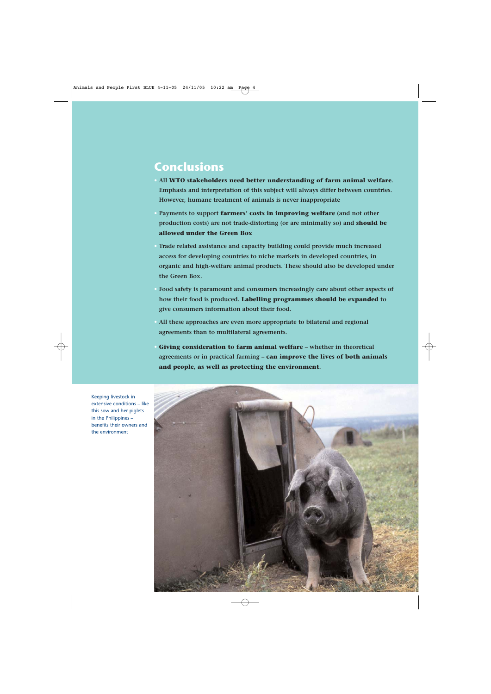# **Conclusions**

- **• All WTO stakeholders need better understanding of farm animal welfare. Emphasis and interpretation of this subject will always differ between countries. However, humane treatment of animals is never inappropriate**
- **• Payments to support farmers' costs in improving welfare (and not other production costs) are not trade-distorting (or are minimally so) and should be allowed under the Green Box**
- **• Trade related assistance and capacity building could provide much increased access for developing countries to niche markets in developed countries, in organic and high-welfare animal products. These should also be developed under the Green Box.**
- **• Food safety is paramount and consumers increasingly care about other aspects of how their food is produced. Labelling programmes should be expanded to give consumers information about their food.**
- **• All these approaches are even more appropriate to bilateral and regional agreements than to multilateral agreements.**
- **• Giving consideration to farm animal welfare whether in theoretical agreements or in practical farming – can improve the lives of both animals and people, as well as protecting the environment.**



Keeping livestock in extensive conditions – like this sow and her piglets in the Philippines – benefits their owners and the environment